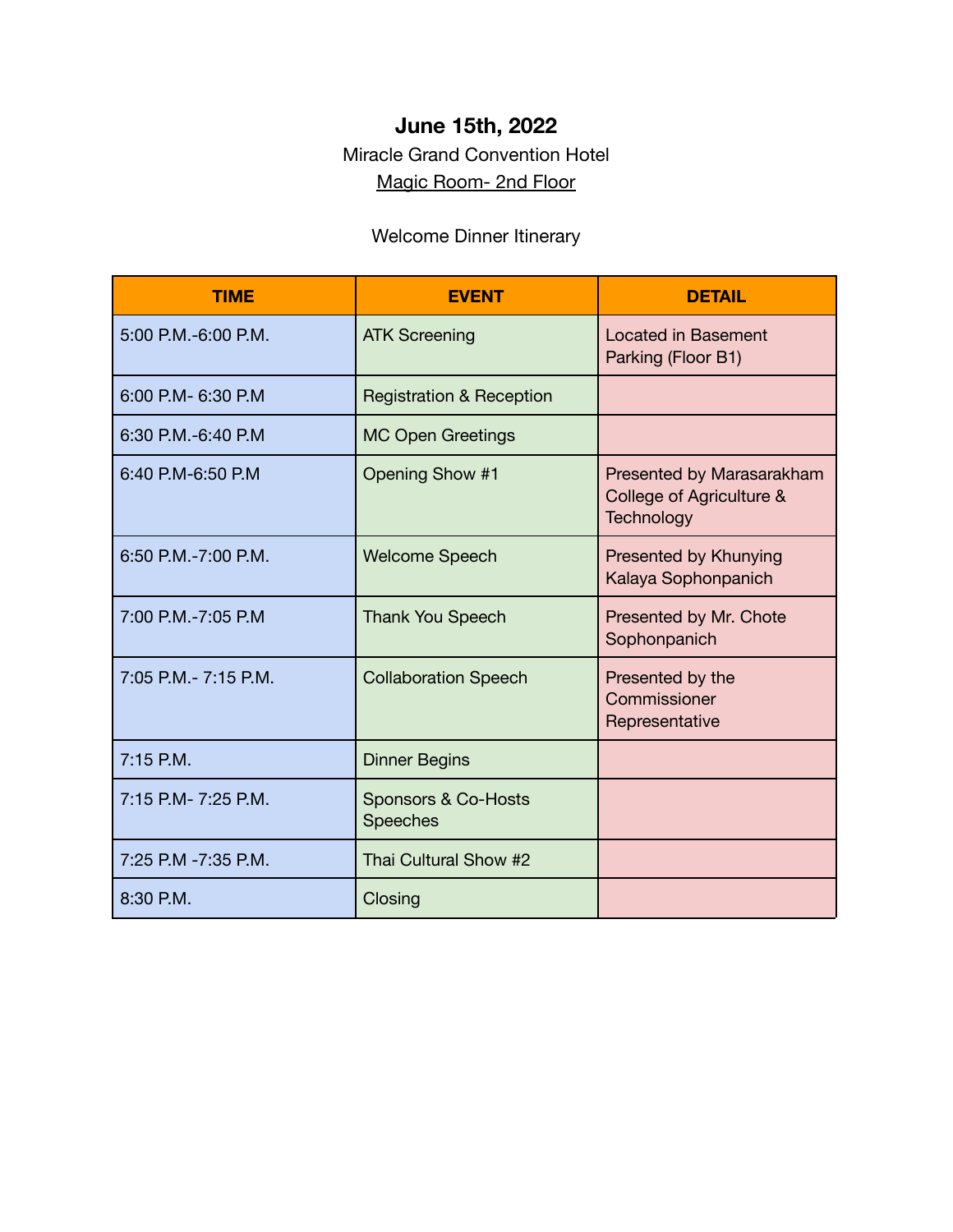### **June 15th, 2022**

#### Miracle Grand Convention Hotel Magic Room- 2nd Floor

### Welcome Dinner Itinerary

| <b>TIME</b>           | <b>EVENT</b>                           | <b>DETAIL</b>                                                       |
|-----------------------|----------------------------------------|---------------------------------------------------------------------|
| 5:00 P.M.-6:00 P.M.   | <b>ATK Screening</b>                   | <b>Located in Basement</b><br>Parking (Floor B1)                    |
| 6:00 P.M- 6:30 P.M    | <b>Registration &amp; Reception</b>    |                                                                     |
| 6:30 P.M.-6:40 P.M.   | <b>MC Open Greetings</b>               |                                                                     |
| 6:40 P.M-6:50 P.M     | Opening Show #1                        | Presented by Marasarakham<br>College of Agriculture &<br>Technology |
| 6:50 P.M.-7:00 P.M.   | <b>Welcome Speech</b>                  | <b>Presented by Khunying</b><br>Kalaya Sophonpanich                 |
| 7:00 P.M.-7:05 P.M    | <b>Thank You Speech</b>                | Presented by Mr. Chote<br>Sophonpanich                              |
| 7:05 P.M. - 7:15 P.M. | <b>Collaboration Speech</b>            | Presented by the<br>Commissioner<br>Representative                  |
| $7:15$ P.M.           | <b>Dinner Begins</b>                   |                                                                     |
| 7:15 P.M- 7:25 P.M.   | Sponsors & Co-Hosts<br><b>Speeches</b> |                                                                     |
| 7:25 P.M -7:35 P.M.   | Thai Cultural Show #2                  |                                                                     |
| 8:30 P.M.             | Closing                                |                                                                     |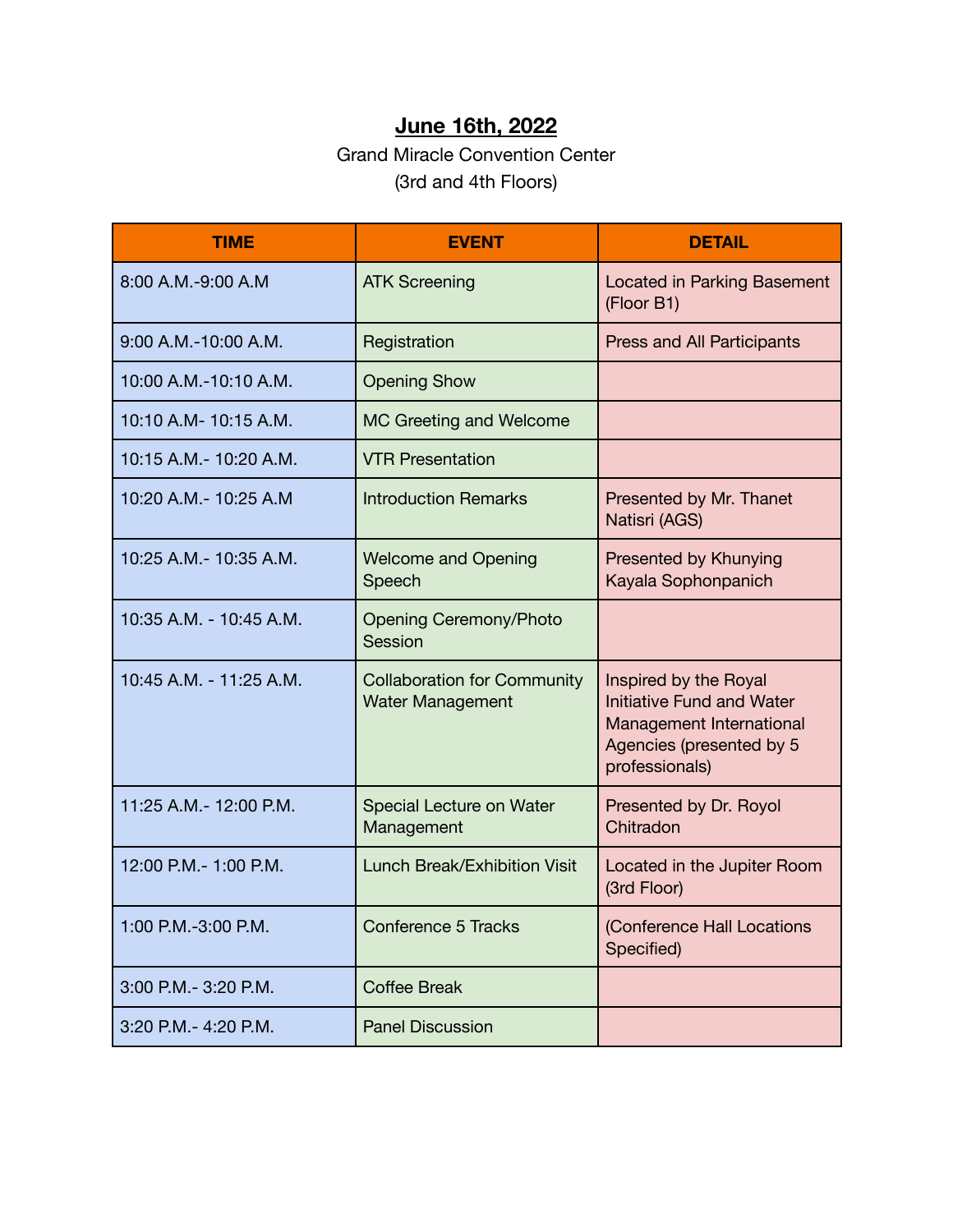## **June 16th, 2022**

#### Grand Miracle Convention Center (3rd and 4th Floors)

| <b>TIME</b>             | <b>EVENT</b>                                                  | <b>DETAIL</b>                                                                                                                       |
|-------------------------|---------------------------------------------------------------|-------------------------------------------------------------------------------------------------------------------------------------|
| 8:00 A.M.-9:00 A.M      | <b>ATK Screening</b>                                          | Located in Parking Basement<br>(Floor B1)                                                                                           |
| 9:00 A.M.-10:00 A.M.    | Registration                                                  | Press and All Participants                                                                                                          |
| 10:00 A.M.-10:10 A.M.   | <b>Opening Show</b>                                           |                                                                                                                                     |
| 10:10 A.M- 10:15 A.M.   | MC Greeting and Welcome                                       |                                                                                                                                     |
| 10:15 A.M. - 10:20 A.M. | <b>VTR Presentation</b>                                       |                                                                                                                                     |
| 10:20 A.M.- 10:25 A.M   | <b>Introduction Remarks</b>                                   | Presented by Mr. Thanet<br>Natisri (AGS)                                                                                            |
| 10:25 A.M. - 10:35 A.M. | <b>Welcome and Opening</b><br>Speech                          | Presented by Khunying<br>Kayala Sophonpanich                                                                                        |
| 10:35 A.M. - 10:45 A.M. | <b>Opening Ceremony/Photo</b><br>Session                      |                                                                                                                                     |
| 10:45 A.M. - 11:25 A.M. | <b>Collaboration for Community</b><br><b>Water Management</b> | Inspired by the Royal<br><b>Initiative Fund and Water</b><br>Management International<br>Agencies (presented by 5<br>professionals) |
| 11:25 A.M.- 12:00 P.M.  | Special Lecture on Water<br>Management                        | Presented by Dr. Royol<br>Chitradon                                                                                                 |
| 12:00 P.M. - 1:00 P.M.  | <b>Lunch Break/Exhibition Visit</b>                           | Located in the Jupiter Room<br>(3rd Floor)                                                                                          |
| 1:00 P.M.-3:00 P.M.     | <b>Conference 5 Tracks</b>                                    | (Conference Hall Locations<br>Specified)                                                                                            |
| 3:00 P.M. - 3:20 P.M.   | <b>Coffee Break</b>                                           |                                                                                                                                     |
| 3:20 P.M.- 4:20 P.M.    | <b>Panel Discussion</b>                                       |                                                                                                                                     |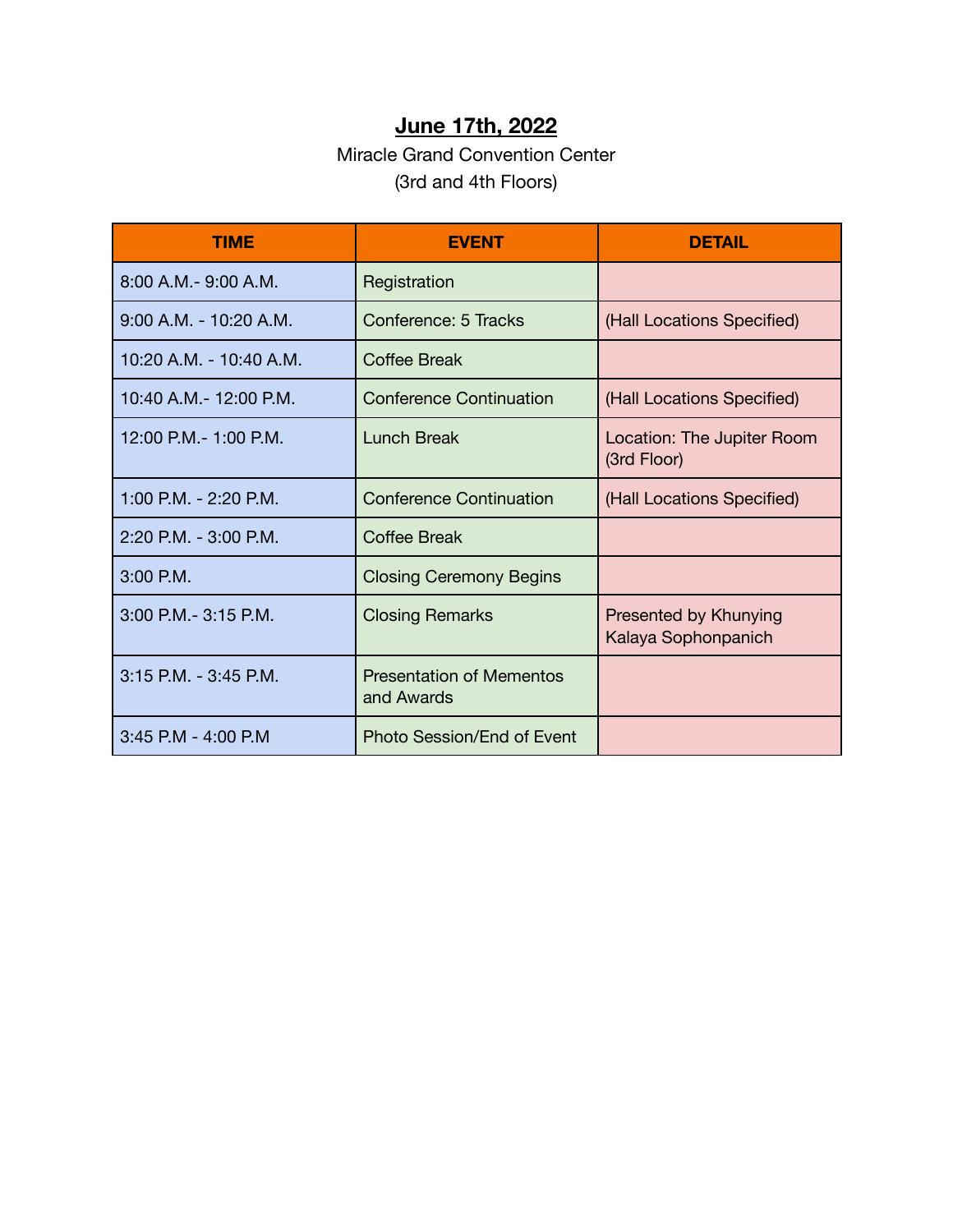### **June 17th, 2022**

#### Miracle Grand Convention Center (3rd and 4th Floors)

| <b>TIME</b>                 | <b>EVENT</b>                                  | <b>DETAIL</b>                                |
|-----------------------------|-----------------------------------------------|----------------------------------------------|
| $8:00$ A.M. $-$ 9:00 A.M.   | Registration                                  |                                              |
| $9:00$ A.M. - 10:20 A.M.    | Conference: 5 Tracks                          | (Hall Locations Specified)                   |
| $10:20$ A.M. - $10:40$ A.M. | Coffee Break                                  |                                              |
| 10:40 A.M. - 12:00 P.M.     | <b>Conference Continuation</b>                | (Hall Locations Specified)                   |
| 12:00 P.M. - 1:00 P.M.      | <b>Lunch Break</b>                            | Location: The Jupiter Room<br>(3rd Floor)    |
| 1:00 P.M. - 2:20 P.M.       | <b>Conference Continuation</b>                | (Hall Locations Specified)                   |
| 2:20 P.M. - 3:00 P.M.       | <b>Coffee Break</b>                           |                                              |
| $3:00$ P.M.                 | <b>Closing Ceremony Begins</b>                |                                              |
| 3:00 P.M. - 3:15 P.M.       | <b>Closing Remarks</b>                        | Presented by Khunying<br>Kalaya Sophonpanich |
| $3:15$ P.M. $-3:45$ P.M.    | <b>Presentation of Mementos</b><br>and Awards |                                              |
| 3:45 P.M - 4:00 P.M         | Photo Session/End of Event                    |                                              |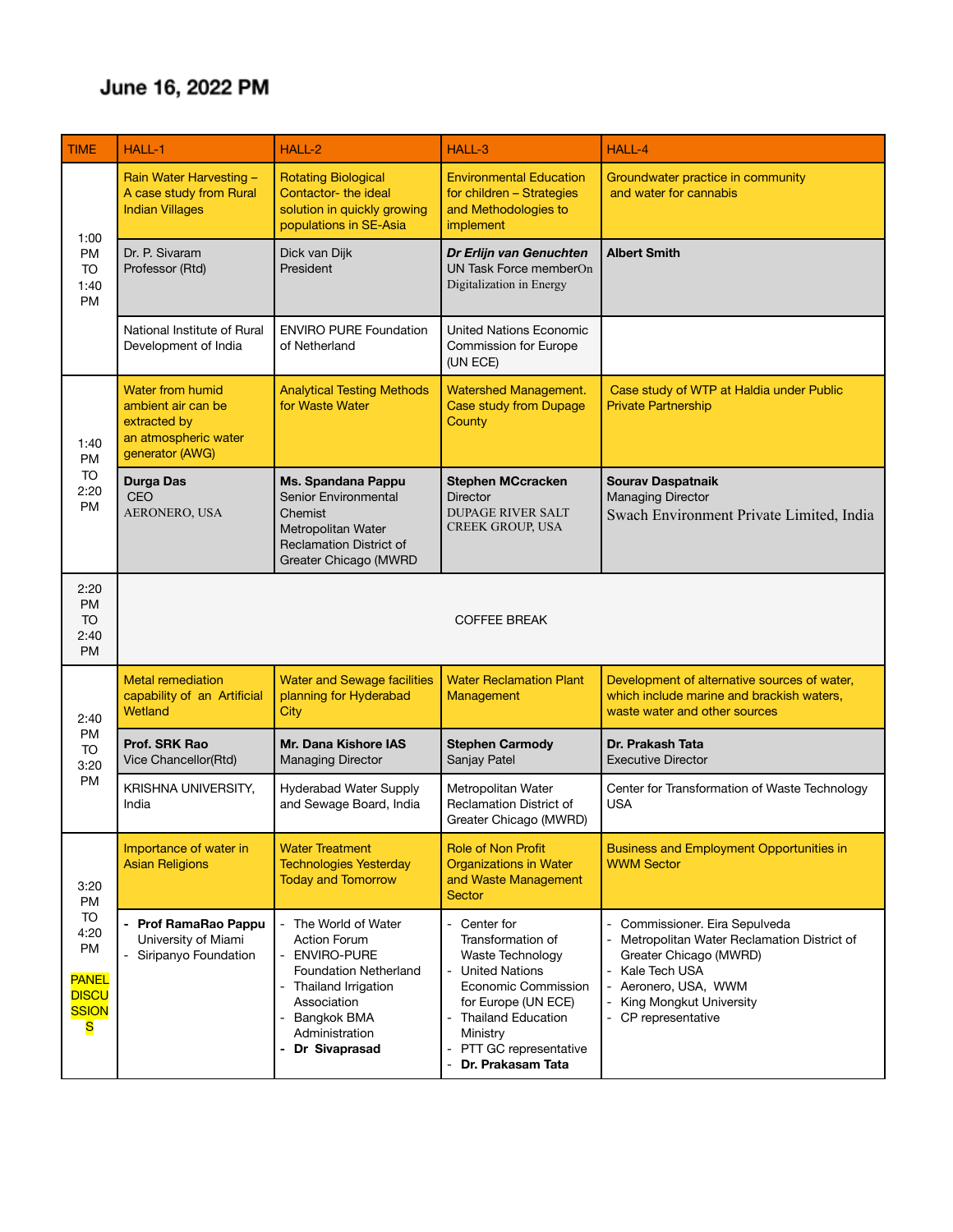## June 16, 2022 PM

| <b>TIME</b>                                                                                       | HALL-1                                                                                                   | HALL-2                                                                                                                                                                               | HALL-3                                                                                                                                                                                                           | HALL-4                                                                                                                                                                                        |
|---------------------------------------------------------------------------------------------------|----------------------------------------------------------------------------------------------------------|--------------------------------------------------------------------------------------------------------------------------------------------------------------------------------------|------------------------------------------------------------------------------------------------------------------------------------------------------------------------------------------------------------------|-----------------------------------------------------------------------------------------------------------------------------------------------------------------------------------------------|
| 1:00<br>PM<br><b>TO</b><br>1:40<br><b>PM</b>                                                      | Rain Water Harvesting -<br>A case study from Rural<br><b>Indian Villages</b>                             | <b>Rotating Biological</b><br>Contactor-the ideal<br>solution in quickly growing<br>populations in SE-Asia                                                                           | <b>Environmental Education</b><br>for children - Strategies<br>and Methodologies to<br>implement                                                                                                                 | Groundwater practice in community<br>and water for cannabis                                                                                                                                   |
|                                                                                                   | Dr. P. Sivaram<br>Professor (Rtd)                                                                        | Dick van Dijk<br>President                                                                                                                                                           | Dr Erlijn van Genuchten<br>UN Task Force memberOn<br>Digitalization in Energy                                                                                                                                    | <b>Albert Smith</b>                                                                                                                                                                           |
|                                                                                                   | National Institute of Rural<br>Development of India                                                      | <b>ENVIRO PURE Foundation</b><br>of Netherland                                                                                                                                       | <b>United Nations Economic</b><br><b>Commission for Europe</b><br>(UN ECE)                                                                                                                                       |                                                                                                                                                                                               |
| 1:40<br>PM                                                                                        | <b>Water from humid</b><br>ambient air can be<br>extracted by<br>an atmospheric water<br>generator (AWG) | <b>Analytical Testing Methods</b><br>for Waste Water                                                                                                                                 | <b>Watershed Management.</b><br><b>Case study from Dupage</b><br>County                                                                                                                                          | Case study of WTP at Haldia under Public<br><b>Private Partnership</b>                                                                                                                        |
| <b>TO</b><br>2:20<br><b>PM</b>                                                                    | <b>Durga Das</b><br><b>CEO</b><br>AERONERO, USA                                                          | Ms. Spandana Pappu<br>Senior Environmental<br>Chemist<br>Metropolitan Water<br><b>Reclamation District of</b><br>Greater Chicago (MWRD                                               | <b>Stephen MCcracken</b><br><b>Director</b><br><b>DUPAGE RIVER SALT</b><br>CREEK GROUP, USA                                                                                                                      | <b>Sourav Daspatnaik</b><br><b>Managing Director</b><br>Swach Environment Private Limited, India                                                                                              |
| 2:20<br><b>PM</b><br>TO<br>2:40<br><b>PM</b>                                                      | <b>COFFEE BREAK</b>                                                                                      |                                                                                                                                                                                      |                                                                                                                                                                                                                  |                                                                                                                                                                                               |
| 2:40                                                                                              | <b>Metal remediation</b><br>capability of an Artificial<br>Wetland                                       | <b>Water and Sewage facilities</b><br>planning for Hyderabad<br>City                                                                                                                 | <b>Water Reclamation Plant</b><br>Management                                                                                                                                                                     | Development of alternative sources of water,<br>which include marine and brackish waters,<br>waste water and other sources                                                                    |
| <b>PM</b><br><b>TO</b><br>3:20                                                                    | Prof. SRK Rao<br>Vice Chancellor(Rtd)                                                                    | Mr. Dana Kishore IAS<br><b>Managing Director</b>                                                                                                                                     | <b>Stephen Carmody</b><br>Sanjay Patel                                                                                                                                                                           | Dr. Prakash Tata<br><b>Executive Director</b>                                                                                                                                                 |
| <b>PM</b>                                                                                         | KRISHNA UNIVERSITY,<br>India                                                                             | Hyderabad Water Supply<br>and Sewage Board, India                                                                                                                                    | Metropolitan Water<br><b>Reclamation District of</b><br>Greater Chicago (MWRD)                                                                                                                                   | Center for Transformation of Waste Technology<br><b>USA</b>                                                                                                                                   |
| 3:20<br><b>PM</b><br>TO<br>4:20<br><b>PM</b><br><b>PANEL</b><br><b>DISCU</b><br><b>SSION</b><br>S | Importance of water in<br><b>Asian Religions</b>                                                         | <b>Water Treatment</b><br><b>Technologies Yesterday</b><br><b>Today and Tomorrow</b>                                                                                                 | <b>Role of Non Profit</b><br>Organizations in Water<br>and Waste Management<br><b>Sector</b>                                                                                                                     | <b>Business and Employment Opportunities in</b><br><b>WWM Sector</b>                                                                                                                          |
|                                                                                                   | - Prof RamaRao Pappu<br>University of Miami<br>- Siripanyo Foundation                                    | The World of Water<br><b>Action Forum</b><br>- ENVIRO-PURE<br><b>Foundation Netherland</b><br>Thailand Irrigation<br>Association<br>Bangkok BMA<br>Administration<br>- Dr Sivaprasad | - Center for<br>Transformation of<br><b>Waste Technology</b><br>- United Nations<br>Economic Commission<br>for Europe (UN ECE)<br>- Thailand Education<br>Ministry<br>PTT GC representative<br>Dr. Prakasam Tata | Commissioner. Eira Sepulveda<br>Metropolitan Water Reclamation District of<br>Greater Chicago (MWRD)<br>Kale Tech USA<br>Aeronero, USA, WWM<br>King Mongkut University<br>- CP representative |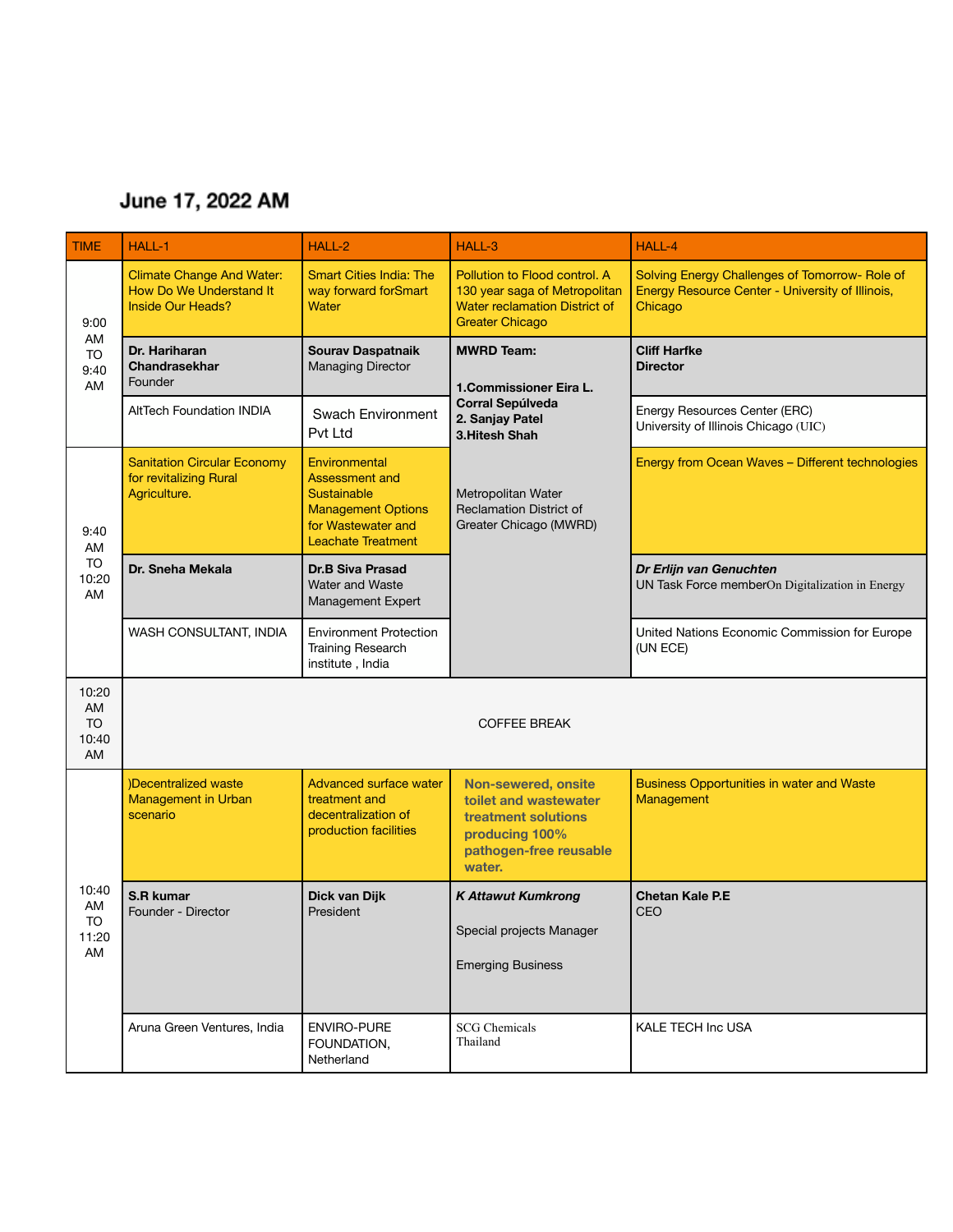## June 17, 2022 AM

| <b>TIME</b>                             | HALL-1                                                                                  | HALL-2                                                                                                                                       | HALL-3                                                                                                                           | HALL-4                                                                                                        |
|-----------------------------------------|-----------------------------------------------------------------------------------------|----------------------------------------------------------------------------------------------------------------------------------------------|----------------------------------------------------------------------------------------------------------------------------------|---------------------------------------------------------------------------------------------------------------|
| 9:00                                    | <b>Climate Change And Water:</b><br>How Do We Understand It<br><b>Inside Our Heads?</b> | <b>Smart Cities India: The</b><br>way forward forSmart<br>Water                                                                              | Pollution to Flood control. A<br>130 year saga of Metropolitan<br><b>Water reclamation District of</b><br><b>Greater Chicago</b> | Solving Energy Challenges of Tomorrow- Role of<br>Energy Resource Center - University of Illinois,<br>Chicago |
| AM<br><b>TO</b><br>9:40<br>AM           | Dr. Hariharan<br><b>Chandrasekhar</b><br>Founder                                        | <b>Sourav Daspatnaik</b><br><b>Managing Director</b>                                                                                         | <b>MWRD Team:</b><br>1.Commissioner Eira L.<br><b>Corral Sepúlveda</b><br>2. Sanjay Patel<br>3. Hitesh Shah                      | <b>Cliff Harfke</b><br><b>Director</b>                                                                        |
|                                         | <b>AltTech Foundation INDIA</b>                                                         | Swach Environment<br>Pvt Ltd                                                                                                                 |                                                                                                                                  | Energy Resources Center (ERC)<br>University of Illinois Chicago (UIC)                                         |
| 9:40<br>AM                              | <b>Sanitation Circular Economy</b><br>for revitalizing Rural<br>Agriculture.            | Environmental<br><b>Assessment and</b><br><b>Sustainable</b><br><b>Management Options</b><br>for Wastewater and<br><b>Leachate Treatment</b> | Metropolitan Water<br><b>Reclamation District of</b><br>Greater Chicago (MWRD)                                                   | Energy from Ocean Waves - Different technologies                                                              |
| <b>TO</b><br>10:20<br>AM                | Dr. Sneha Mekala                                                                        | <b>Dr.B Siva Prasad</b><br><b>Water and Waste</b><br>Management Expert                                                                       |                                                                                                                                  | Dr Erlijn van Genuchten<br>UN Task Force memberOn Digitalization in Energy                                    |
|                                         | WASH CONSULTANT, INDIA                                                                  | <b>Environment Protection</b><br>Training Research<br>institute, India                                                                       |                                                                                                                                  | United Nations Economic Commission for Europe<br>(UN ECE)                                                     |
| 10:20<br>AM<br><b>TO</b><br>10:40<br>AM |                                                                                         |                                                                                                                                              | <b>COFFEE BREAK</b>                                                                                                              |                                                                                                               |
|                                         | )Decentralized waste<br><b>Management in Urban</b><br>scenario                          | <b>Advanced surface water</b><br>treatment and<br>decentralization of<br>production facilities                                               | <b>Non-sewered, onsite</b><br>toilet and wastewater<br>treatment solutions<br>producing 100%<br>pathogen-free reusable<br>water. | <b>Business Opportunities in water and Waste</b><br>Management                                                |
| 10:40<br>AM<br><b>TO</b><br>11:20<br>AM | S.R kumar<br>Founder - Director                                                         | Dick van Dijk<br>President                                                                                                                   | <b>K Attawut Kumkrong</b><br>Special projects Manager<br><b>Emerging Business</b>                                                | <b>Chetan Kale P.E</b><br><b>CEO</b>                                                                          |
|                                         | Aruna Green Ventures, India                                                             | <b>ENVIRO-PURE</b><br>FOUNDATION,<br>Netherland                                                                                              | <b>SCG</b> Chemicals<br>Thailand                                                                                                 | KALE TECH Inc USA                                                                                             |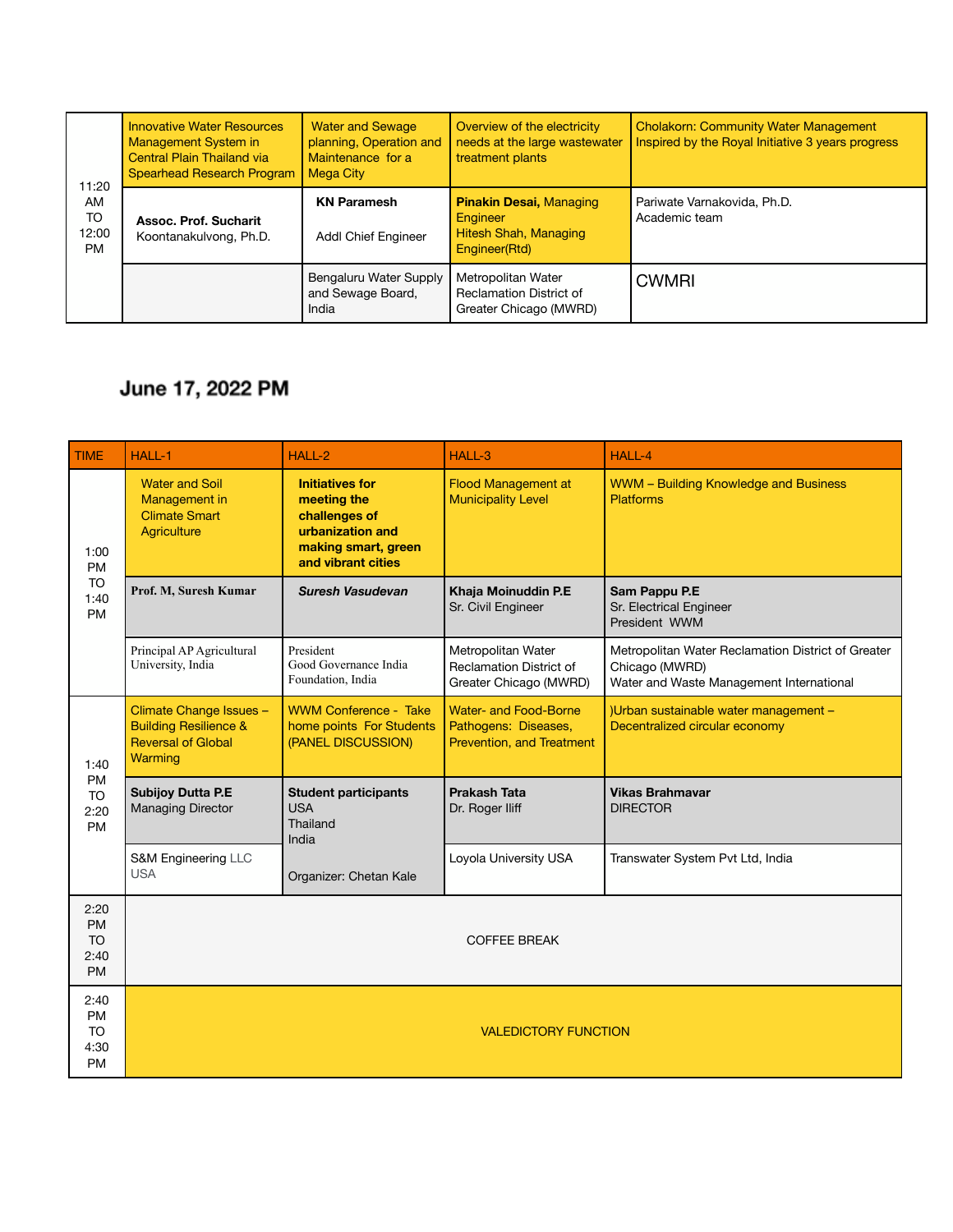| 11:20<br>AM<br><b>TO</b><br>12:00<br>PM | <b>Innovative Water Resources</b><br>Management System in<br><b>Central Plain Thailand via</b><br><b>Spearhead Research Program</b> | <b>Water and Sewage</b><br>planning, Operation and<br>Maintenance for a<br><b>Mega City</b> | Overview of the electricity<br>needs at the large wastewater<br>treatment plants     | <b>Cholakorn: Community Water Management</b><br>Inspired by the Royal Initiative 3 years progress |
|-----------------------------------------|-------------------------------------------------------------------------------------------------------------------------------------|---------------------------------------------------------------------------------------------|--------------------------------------------------------------------------------------|---------------------------------------------------------------------------------------------------|
|                                         | Assoc. Prof. Sucharit<br>Koontanakulvong, Ph.D.                                                                                     | <b>KN Paramesh</b><br><b>Addl Chief Engineer</b>                                            | <b>Pinakin Desai, Managing</b><br>Engineer<br>Hitesh Shah, Managing<br>Engineer(Rtd) | Pariwate Varnakovida, Ph.D.<br>Academic team                                                      |
|                                         |                                                                                                                                     | Bengaluru Water Supply<br>and Sewage Board,<br>India                                        | Metropolitan Water<br><b>Reclamation District of</b><br>Greater Chicago (MWRD)       | <b>CWMRI</b>                                                                                      |

# June 17, 2022 PM

| <b>TIME</b>                                         | <b>HALL-1</b>                                                                                       | HALL-2                                                                                                                  | HALL-3                                                                     | <b>HALL-4</b>                                                                                                    |
|-----------------------------------------------------|-----------------------------------------------------------------------------------------------------|-------------------------------------------------------------------------------------------------------------------------|----------------------------------------------------------------------------|------------------------------------------------------------------------------------------------------------------|
| 1:00<br><b>PM</b>                                   | <b>Water and Soil</b><br>Management in<br><b>Climate Smart</b><br><b>Aariculture</b>                | <b>Initiatives for</b><br>meeting the<br>challenges of<br>urbanization and<br>making smart, green<br>and vibrant cities | <b>Flood Management at</b><br><b>Municipality Level</b>                    | WWM - Building Knowledge and Business<br><b>Platforms</b>                                                        |
| <b>TO</b><br>1:40<br><b>PM</b>                      | Prof. M, Suresh Kumar                                                                               | Suresh Vasudevan                                                                                                        | Khaja Moinuddin P.E<br>Sr. Civil Engineer                                  | Sam Pappu P.E<br>Sr. Electrical Engineer<br>President WWM                                                        |
|                                                     | Principal AP Agricultural<br>University, India                                                      | President<br>Good Governance India<br>Foundation, India                                                                 | Metropolitan Water<br>Reclamation District of<br>Greater Chicago (MWRD)    | Metropolitan Water Reclamation District of Greater<br>Chicago (MWRD)<br>Water and Waste Management International |
| 1:40<br><b>PM</b><br><b>TO</b><br>2:20<br><b>PM</b> | Climate Change Issues -<br><b>Building Resilience &amp;</b><br><b>Reversal of Global</b><br>Warming | <b>WWM Conference - Take</b><br>home points For Students<br>(PANEL DISCUSSION)                                          | Water- and Food-Borne<br>Pathogens: Diseases,<br>Prevention, and Treatment | )Urban sustainable water management -<br>Decentralized circular economy                                          |
|                                                     | <b>Subijoy Dutta P.E</b><br><b>Managing Director</b>                                                | <b>Student participants</b><br><b>USA</b><br>Thailand<br>India<br>Organizer: Chetan Kale                                | <b>Prakash Tata</b><br>Dr. Roger Iliff                                     | <b>Vikas Brahmavar</b><br><b>DIRECTOR</b>                                                                        |
|                                                     | S&M Engineering LLC<br><b>USA</b>                                                                   |                                                                                                                         | Loyola University USA                                                      | Transwater System Pvt Ltd, India                                                                                 |
| 2:20<br><b>PM</b><br><b>TO</b><br>2:40<br><b>PM</b> |                                                                                                     |                                                                                                                         | <b>COFFEE BREAK</b>                                                        |                                                                                                                  |
| 2:40<br><b>PM</b><br><b>TO</b><br>4:30<br><b>PM</b> |                                                                                                     |                                                                                                                         | <b>VALEDICTORY FUNCTION</b>                                                |                                                                                                                  |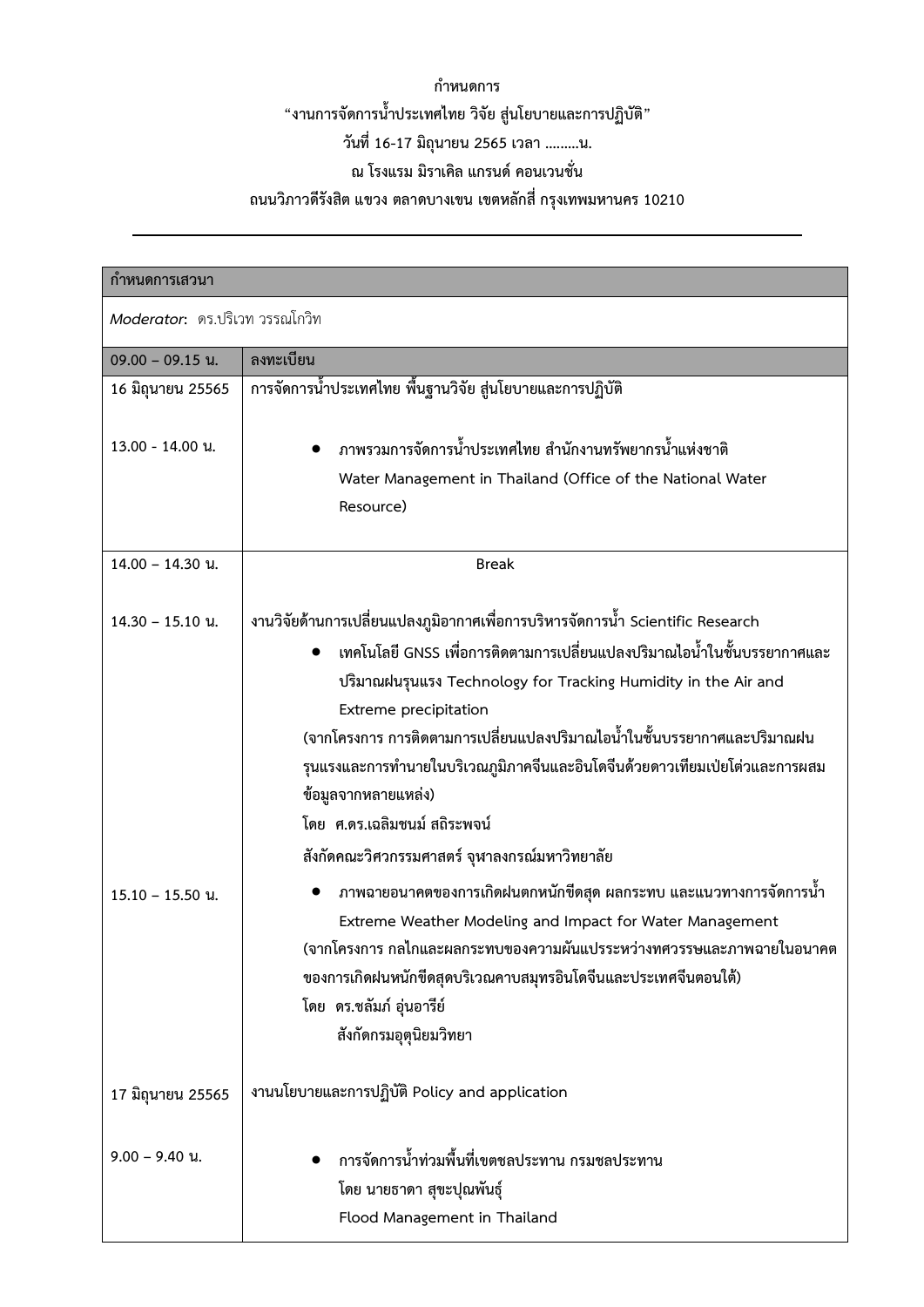## **กำหนดการ "งานการจัดการน้ำประเทศไทย วิจัย สู9นโยบายและการปฏิบัติ" วันที่16-17 มิถุนายน 2565 เวลา .........น.**  ณ โรงแรม มิราเคิล แกรนด์ คอนเวนชั่น

# **ถนนวิภาวดีรังสิต แขวง ตลาดบางเขน เขตหลักสี่ กรุงเทพมหานคร 10210**

.

| ีกำหนดการเสวนา                 |                                                                                                                                                                                                                                                                                                                                                                                                                                                                                                                            |  |
|--------------------------------|----------------------------------------------------------------------------------------------------------------------------------------------------------------------------------------------------------------------------------------------------------------------------------------------------------------------------------------------------------------------------------------------------------------------------------------------------------------------------------------------------------------------------|--|
| Moderator: ดร.ปริเวท วรรณโกวิท |                                                                                                                                                                                                                                                                                                                                                                                                                                                                                                                            |  |
| $09.00 - 09.15$ u.             | ลงทะเบียน                                                                                                                                                                                                                                                                                                                                                                                                                                                                                                                  |  |
| 16 มิถุนายน 25565              | การจัดการน้ำประเทศไทย พื้นฐานวิจัย สู่นโยบายและการปฏิบัติ                                                                                                                                                                                                                                                                                                                                                                                                                                                                  |  |
| 13.00 - 14.00 u.               | ิภาพรวมการจัดการน้ำประเทศไทย สำนักงานทรัพยากรน้ำแห่งชาติ<br>Water Management in Thailand (Office of the National Water<br>Resource)                                                                                                                                                                                                                                                                                                                                                                                        |  |
| 14.00 - 14.30 u.               | <b>Break</b>                                                                                                                                                                                                                                                                                                                                                                                                                                                                                                               |  |
| $14.30 - 15.10$ u.             | งานวิจัยด้านการเปลี่ยนแปลงภูมิอากาศเพื่อการบริหารจัดการน้ำ Scientific Research<br>ี่ เทคโนโลยี GNSS เพื่อการติดตามการเปลี่ยนแปลงปริมาณไอน้ำในชั้นบรรยากาศและ<br>ปริมาณฝนรุนแรง Technology for Tracking Humidity in the Air and<br>Extreme precipitation<br>(จากโครงการ การติดตามการเปลี่ยนแปลงปริมาณไอน้ำในชั้นบรรยากาศและปริมาณฝน<br>รุนแรงและการทำนายในบริเวณภูมิภาคจีนและอินโดจีนด้วยดาวเทียมเป่ยโต่วและการผสม<br>ข้อมูลจากหลายแหล่ง)<br>โดย  ศ.ดร.เฉลิมชนม์ สถิระพจน์<br>สังกัดคณะวิศวกรรมศาสตร์ จุฬาลงกรณ์มหาวิทยาลัย |  |
| $15.10 - 15.50$ u.             | ิภาพฉายอนาคตของการเกิดฝนตกหนักขีดสุด ผลกระทบ และแนวทางการจัดการน้ำ<br>Extreme Weather Modeling and Impact for Water Management<br>(จากโครงการ กลไกและผลกระทบของความผันแปรระหว่างทศวรรษและภาพฉายในอนาคต<br>ของการเกิดฝนหนักขีดสุดบริเวณคาบสมุทรอินโดจีนและประเทศจีนตอนใต้)<br>โดย  ดร.ชลัมภ์ อุ่นอารีย์<br>สังกัดกรมอุตุนิยมวิทยา                                                                                                                                                                                           |  |
| 17 มิถุนายน 25565              | งานนโยบายและการปฏิบัติ Policy and application                                                                                                                                                                                                                                                                                                                                                                                                                                                                              |  |
| $9.00 - 9.40$ u.               | ึการจัดการน้ำท่วมพื้นที่เขตชลประทาน กรมชลประทาน<br>โดย นายธาดา สุขะปุณพันธุ์<br>Flood Management in Thailand                                                                                                                                                                                                                                                                                                                                                                                                               |  |